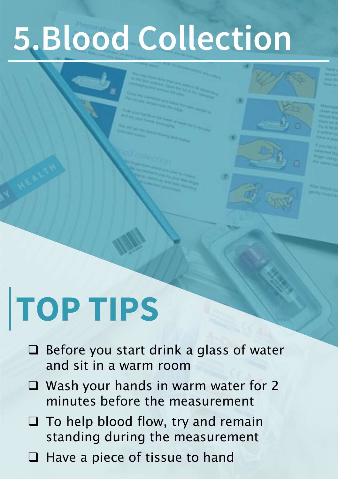# **5.Blood Collection**

## **TOP TIPS**

- ❑ Before you start drink a glass of water and sit in a warm room
- ❑ Wash your hands in warm water for 2 minutes before the measurement
- ❑ To help blood flow, try and remain standing during the measurement
- ❑ Have a piece of tissue to hand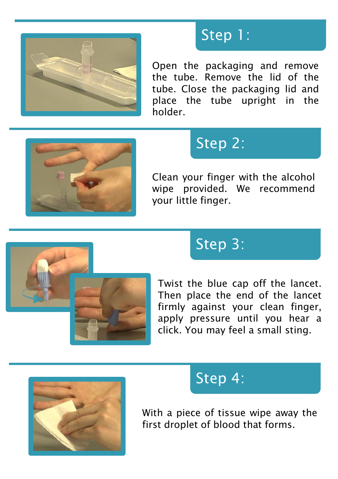

#### Step 1:

Open the packaging and remove the tube. Remove the lid of the tube. Close the packaging lid and place the tube upright in the holder.



## Step 2:

Clean your finger with the alcohol wipe provided. We recommend your little finger.



### Step 3:

Twist the blue cap off the lancet. Then place the end of the lancet firmly against your clean finger, apply pressure until you hear a click. You may feel a small sting.



#### Step 4:

With a piece of tissue wipe away the first droplet of blood that forms.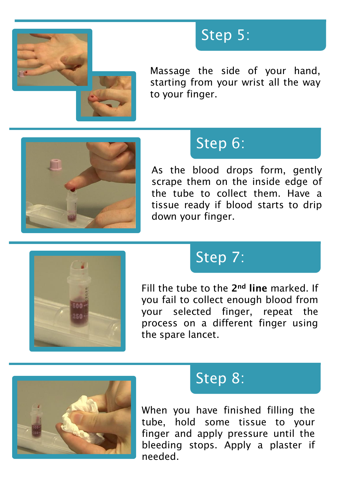

#### Step 5:

Massage the side of your hand, starting from your wrist all the way to your finger.



## Step 6:

As the blood drops form, gently scrape them on the inside edge of the tube to collect them. Have a tissue ready if blood starts to drip down your finger.



## Step 7:

Fill the tube to the 2nd line marked. If you fail to collect enough blood from your selected finger, repeat the process on a different finger using the spare lancet.



#### Step 8:

When you have finished filling the tube, hold some tissue to your finger and apply pressure until the bleeding stops. Apply a plaster if needed.